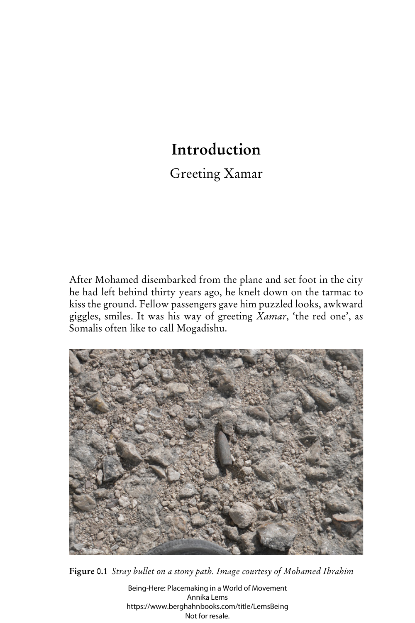# **Introduction**

Greeting Xamar

After Mohamed disembarked from the plane and set foot in the city he had left behind thirty years ago, he knelt down on the tarmac to kiss the ground. Fellow passengers gave him puzzled looks, awkward giggles, smiles. It was his way of greeting *Xamar*, 'the red one', as Somalis often like to call Mogadishu.



**Figure 0.1** *Stray bullet on a stony path. Image courtesy of Mohamed Ibrahim*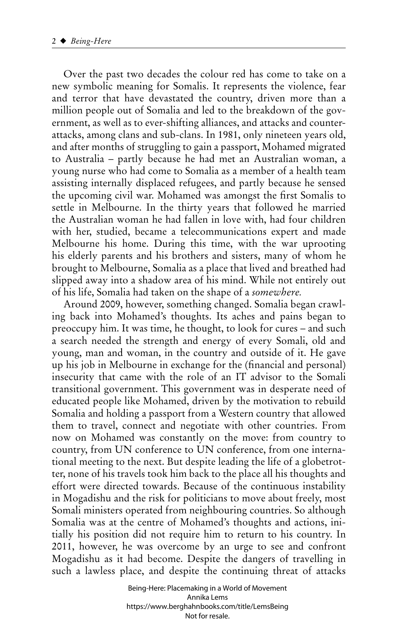Over the past two decades the colour red has come to take on a new symbolic meaning for Somalis. It represents the violence, fear and terror that have devastated the country, driven more than a million people out of Somalia and led to the breakdown of the government, as well as to ever-shifting alliances, and attacks and counterattacks, among clans and sub-clans. In 1981, only nineteen years old, and after months of struggling to gain a passport, Mohamed migrated to Australia – partly because he had met an Australian woman, a young nurse who had come to Somalia as a member of a health team assisting internally displaced refugees, and partly because he sensed the upcoming civil war. Mohamed was amongst the first Somalis to settle in Melbourne. In the thirty years that followed he married the Australian woman he had fallen in love with, had four children with her, studied, became a telecommunications expert and made Melbourne his home. During this time, with the war uprooting his elderly parents and his brothers and sisters, many of whom he brought to Melbourne, Somalia as a place that lived and breathed had slipped away into a shadow area of his mind. While not entirely out of his life, Somalia had taken on the shape of a *somewhere.*

Around 2009, however, something changed. Somalia began crawling back into Mohamed's thoughts. Its aches and pains began to preoccupy him. It was time, he thought, to look for cures – and such a search needed the strength and energy of every Somali, old and young, man and woman, in the country and outside of it. He gave up his job in Melbourne in exchange for the (financial and personal) insecurity that came with the role of an IT advisor to the Somali transitional government. This government was in desperate need of educated people like Mohamed, driven by the motivation to rebuild Somalia and holding a passport from a Western country that allowed them to travel, connect and negotiate with other countries. From now on Mohamed was constantly on the move: from country to country, from UN conference to UN conference, from one international meeting to the next. But despite leading the life of a globetrotter, none of his travels took him back to the place all his thoughts and effort were directed towards. Because of the continuous instability in Mogadishu and the risk for politicians to move about freely, most Somali ministers operated from neighbouring countries. So although Somalia was at the centre of Mohamed's thoughts and actions, initially his position did not require him to return to his country. In 2011, however, he was overcome by an urge to see and confront Mogadishu as it had become. Despite the dangers of travelling in such a lawless place, and despite the continuing threat of attacks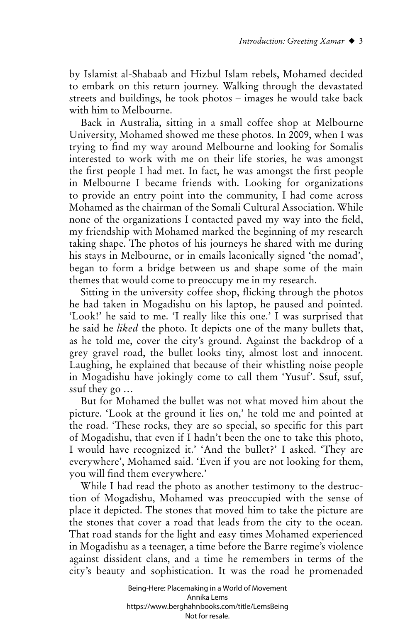by Islamist al-Shabaab and Hizbul Islam rebels, Mohamed decided to embark on this return journey. Walking through the devastated streets and buildings, he took photos – images he would take back with him to Melbourne.

Back in Australia, sitting in a small coffee shop at Melbourne University, Mohamed showed me these photos. In 2009, when I was trying to find my way around Melbourne and looking for Somalis interested to work with me on their life stories, he was amongst the first people I had met. In fact, he was amongst the first people in Melbourne I became friends with. Looking for organizations to provide an entry point into the community, I had come across Mohamed as the chairman of the Somali Cultural Association. While none of the organizations I contacted paved my way into the field, my friendship with Mohamed marked the beginning of my research taking shape. The photos of his journeys he shared with me during his stays in Melbourne, or in emails laconically signed 'the nomad', began to form a bridge between us and shape some of the main themes that would come to preoccupy me in my research.

Sitting in the university coffee shop, flicking through the photos he had taken in Mogadishu on his laptop, he paused and pointed. 'Look!' he said to me. 'I really like this one.' I was surprised that he said he *liked* the photo. It depicts one of the many bullets that, as he told me, cover the city's ground. Against the backdrop of a grey gravel road, the bullet looks tiny, almost lost and innocent. Laughing, he explained that because of their whistling noise people in Mogadishu have jokingly come to call them 'Yusuf'. Ssuf, ssuf, ssuf they go …

But for Mohamed the bullet was not what moved him about the picture. 'Look at the ground it lies on,' he told me and pointed at the road. 'These rocks, they are so special, so specific for this part of Mogadishu, that even if I hadn't been the one to take this photo, I would have recognized it.' 'And the bullet?' I asked. 'They are everywhere', Mohamed said. 'Even if you are not looking for them, you will find them everywhere.'

While I had read the photo as another testimony to the destruction of Mogadishu, Mohamed was preoccupied with the sense of place it depicted. The stones that moved him to take the picture are the stones that cover a road that leads from the city to the ocean. That road stands for the light and easy times Mohamed experienced in Mogadishu as a teenager, a time before the Barre regime's violence against dissident clans, and a time he remembers in terms of the city's beauty and sophistication. It was the road he promenaded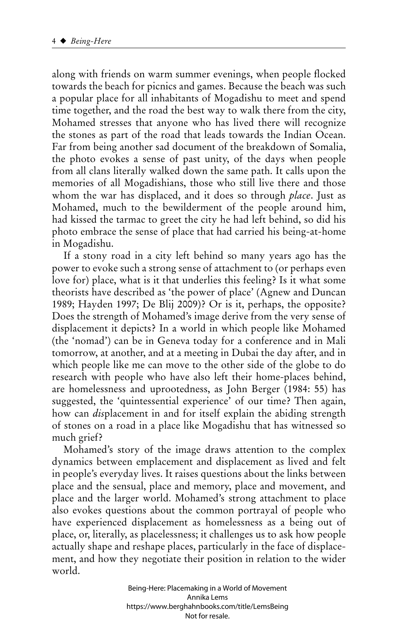along with friends on warm summer evenings, when people flocked towards the beach for picnics and games. Because the beach was such a popular place for all inhabitants of Mogadishu to meet and spend time together, and the road the best way to walk there from the city, Mohamed stresses that anyone who has lived there will recognize the stones as part of the road that leads towards the Indian Ocean. Far from being another sad document of the breakdown of Somalia, the photo evokes a sense of past unity, of the days when people from all clans literally walked down the same path. It calls upon the memories of all Mogadishians, those who still live there and those whom the war has displaced, and it does so through *place*. Just as Mohamed, much to the bewilderment of the people around him, had kissed the tarmac to greet the city he had left behind, so did his photo embrace the sense of place that had carried his being-at-home in Mogadishu.

If a stony road in a city left behind so many years ago has the power to evoke such a strong sense of attachment to (or perhaps even love for) place, what is it that underlies this feeling? Is it what some theorists have described as 'the power of place' (Agnew and Duncan 1989; Hayden 1997; De Blij 2009)? Or is it, perhaps, the opposite? Does the strength of Mohamed's image derive from the very sense of displacement it depicts? In a world in which people like Mohamed (the 'nomad') can be in Geneva today for a conference and in Mali tomorrow, at another, and at a meeting in Dubai the day after, and in which people like me can move to the other side of the globe to do research with people who have also left their home-places behind, are homelessness and uprootedness, as John Berger (1984: 55) has suggested, the 'quintessential experience' of our time? Then again, how can *dis*placement in and for itself explain the abiding strength of stones on a road in a place like Mogadishu that has witnessed so much grief?

Mohamed's story of the image draws attention to the complex dynamics between emplacement and displacement as lived and felt in people's everyday lives. It raises questions about the links between place and the sensual, place and memory, place and movement, and place and the larger world. Mohamed's strong attachment to place also evokes questions about the common portrayal of people who have experienced displacement as homelessness as a being out of place, or, literally, as placelessness; it challenges us to ask how people actually shape and reshape places, particularly in the face of displacement, and how they negotiate their position in relation to the wider world.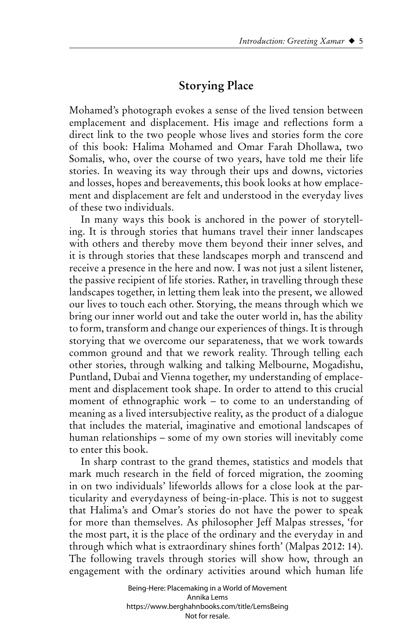## **Storying Place**

Mohamed's photograph evokes a sense of the lived tension between emplacement and displacement. His image and reflections form a direct link to the two people whose lives and stories form the core of this book: Halima Mohamed and Omar Farah Dhollawa, two Somalis, who, over the course of two years, have told me their life stories. In weaving its way through their ups and downs, victories and losses, hopes and bereavements, this book looks at how emplacement and displacement are felt and understood in the everyday lives of these two individuals.

In many ways this book is anchored in the power of storytelling. It is through stories that humans travel their inner landscapes with others and thereby move them beyond their inner selves, and it is through stories that these landscapes morph and transcend and receive a presence in the here and now. I was not just a silent listener, the passive recipient of life stories. Rather, in travelling through these landscapes together, in letting them leak into the present, we allowed our lives to touch each other. Storying, the means through which we bring our inner world out and take the outer world in, has the ability to form, transform and change our experiences of things. It is through storying that we overcome our separateness, that we work towards common ground and that we rework reality. Through telling each other stories, through walking and talking Melbourne, Mogadishu, Puntland, Dubai and Vienna together, my understanding of emplacement and displacement took shape. In order to attend to this crucial moment of ethnographic work – to come to an understanding of meaning as a lived intersubjective reality, as the product of a dialogue that includes the material, imaginative and emotional landscapes of human relationships – some of my own stories will inevitably come to enter this book.

In sharp contrast to the grand themes, statistics and models that mark much research in the field of forced migration, the zooming in on two individuals' lifeworlds allows for a close look at the particularity and everydayness of being-in-place. This is not to suggest that Halima's and Omar's stories do not have the power to speak for more than themselves. As philosopher Jeff Malpas stresses, 'for the most part, it is the place of the ordinary and the everyday in and through which what is extraordinary shines forth' (Malpas 2012: 14). The following travels through stories will show how, through an engagement with the ordinary activities around which human life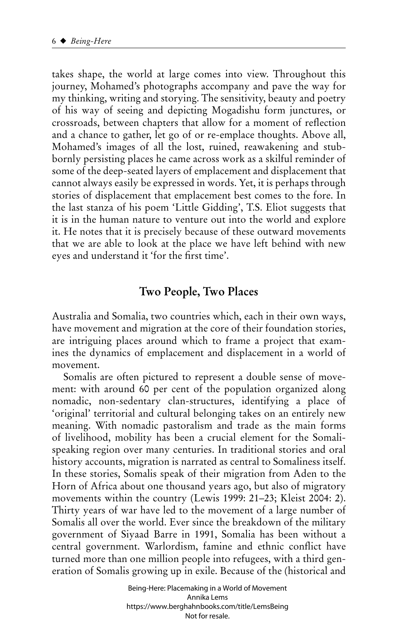takes shape, the world at large comes into view. Throughout this journey, Mohamed's photographs accompany and pave the way for my thinking, writing and storying. The sensitivity, beauty and poetry of his way of seeing and depicting Mogadishu form junctures, or crossroads, between chapters that allow for a moment of reflection and a chance to gather, let go of or re-emplace thoughts. Above all, Mohamed's images of all the lost, ruined, reawakening and stubbornly persisting places he came across work as a skilful reminder of some of the deep-seated layers of emplacement and displacement that cannot always easily be expressed in words. Yet, it is perhaps through stories of displacement that emplacement best comes to the fore. In the last stanza of his poem 'Little Gidding', T.S. Eliot suggests that it is in the human nature to venture out into the world and explore it. He notes that it is precisely because of these outward movements that we are able to look at the place we have left behind with new eyes and understand it 'for the first time'.

#### **Two People, Two Places**

Australia and Somalia, two countries which, each in their own ways, have movement and migration at the core of their foundation stories, are intriguing places around which to frame a project that examines the dynamics of emplacement and displacement in a world of movement.

Somalis are often pictured to represent a double sense of movement: with around 60 per cent of the population organized along nomadic, non-sedentary clan-structures, identifying a place of 'original' territorial and cultural belonging takes on an entirely new meaning. With nomadic pastoralism and trade as the main forms of livelihood, mobility has been a crucial element for the Somalispeaking region over many centuries. In traditional stories and oral history accounts, migration is narrated as central to Somaliness itself. In these stories, Somalis speak of their migration from Aden to the Horn of Africa about one thousand years ago, but also of migratory movements within the country (Lewis 1999: 21–23; Kleist 2004: 2). Thirty years of war have led to the movement of a large number of Somalis all over the world. Ever since the breakdown of the military government of Siyaad Barre in 1991, Somalia has been without a central government. Warlordism, famine and ethnic conflict have turned more than one million people into refugees, with a third generation of Somalis growing up in exile. Because of the (historical and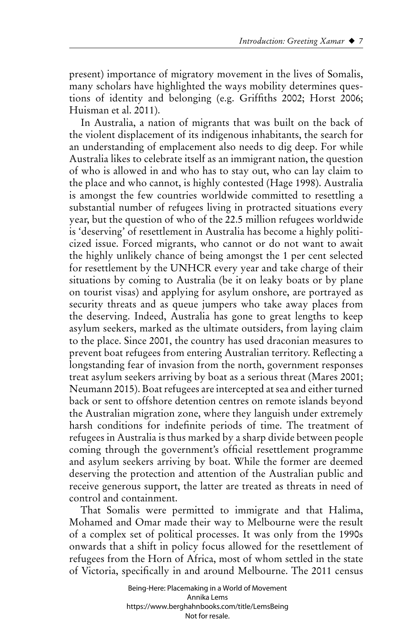present) importance of migratory movement in the lives of Somalis, many scholars have highlighted the ways mobility determines questions of identity and belonging (e.g. Griffiths 2002; Horst 2006; Huisman et al. 2011).

In Australia, a nation of migrants that was built on the back of the violent displacement of its indigenous inhabitants, the search for an understanding of emplacement also needs to dig deep. For while Australia likes to celebrate itself as an immigrant nation, the question of who is allowed in and who has to stay out, who can lay claim to the place and who cannot, is highly contested (Hage 1998). Australia is amongst the few countries worldwide committed to resettling a substantial number of refugees living in protracted situations every year, but the question of who of the 22.5 million refugees worldwide is 'deserving' of resettlement in Australia has become a highly politicized issue. Forced migrants, who cannot or do not want to await the highly unlikely chance of being amongst the 1 per cent selected for resettlement by the UNHCR every year and take charge of their situations by coming to Australia (be it on leaky boats or by plane on tourist visas) and applying for asylum onshore, are portrayed as security threats and as queue jumpers who take away places from the deserving. Indeed, Australia has gone to great lengths to keep asylum seekers, marked as the ultimate outsiders, from laying claim to the place. Since 2001, the country has used draconian measures to prevent boat refugees from entering Australian territory. Reflecting a longstanding fear of invasion from the north, government responses treat asylum seekers arriving by boat as a serious threat (Mares 2001; Neumann 2015). Boat refugees are intercepted at sea and either turned back or sent to offshore detention centres on remote islands beyond the Australian migration zone, where they languish under extremely harsh conditions for indefinite periods of time. The treatment of refugees in Australia is thus marked by a sharp divide between people coming through the government's official resettlement programme and asylum seekers arriving by boat. While the former are deemed deserving the protection and attention of the Australian public and receive generous support, the latter are treated as threats in need of control and containment.

That Somalis were permitted to immigrate and that Halima, Mohamed and Omar made their way to Melbourne were the result of a complex set of political processes. It was only from the 1990s onwards that a shift in policy focus allowed for the resettlement of refugees from the Horn of Africa, most of whom settled in the state of Victoria, specifically in and around Melbourne. The 2011 census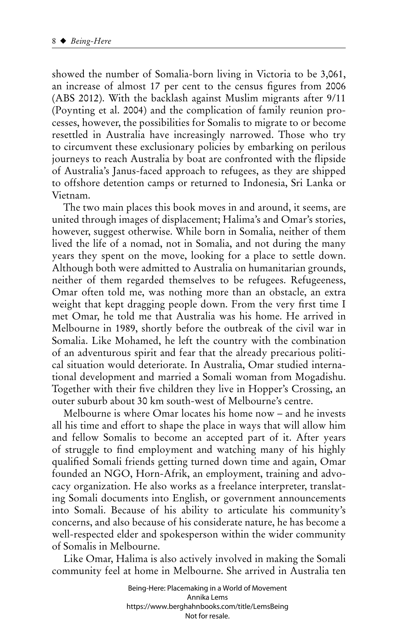showed the number of Somalia-born living in Victoria to be 3,061, an increase of almost 17 per cent to the census figures from 2006 (ABS 2012). With the backlash against Muslim migrants after 9/11 (Poynting et al. 2004) and the complication of family reunion processes, however, the possibilities for Somalis to migrate to or become resettled in Australia have increasingly narrowed. Those who try to circumvent these exclusionary policies by embarking on perilous journeys to reach Australia by boat are confronted with the flipside of Australia's Janus-faced approach to refugees, as they are shipped to offshore detention camps or returned to Indonesia, Sri Lanka or Vietnam.

The two main places this book moves in and around, it seems, are united through images of displacement; Halima's and Omar's stories, however, suggest otherwise. While born in Somalia, neither of them lived the life of a nomad, not in Somalia, and not during the many years they spent on the move, looking for a place to settle down. Although both were admitted to Australia on humanitarian grounds, neither of them regarded themselves to be refugees. Refugeeness, Omar often told me, was nothing more than an obstacle, an extra weight that kept dragging people down. From the very first time I met Omar, he told me that Australia was his home. He arrived in Melbourne in 1989, shortly before the outbreak of the civil war in Somalia. Like Mohamed, he left the country with the combination of an adventurous spirit and fear that the already precarious political situation would deteriorate. In Australia, Omar studied international development and married a Somali woman from Mogadishu. Together with their five children they live in Hopper's Crossing, an outer suburb about 30 km south-west of Melbourne's centre.

Melbourne is where Omar locates his home now – and he invests all his time and effort to shape the place in ways that will allow him and fellow Somalis to become an accepted part of it. After years of struggle to find employment and watching many of his highly qualified Somali friends getting turned down time and again, Omar founded an NGO, Horn-Afrik, an employment, training and advocacy organization. He also works as a freelance interpreter, translating Somali documents into English, or government announcements into Somali. Because of his ability to articulate his community's concerns, and also because of his considerate nature, he has become a well-respected elder and spokesperson within the wider community of Somalis in Melbourne.

Like Omar, Halima is also actively involved in making the Somali community feel at home in Melbourne. She arrived in Australia ten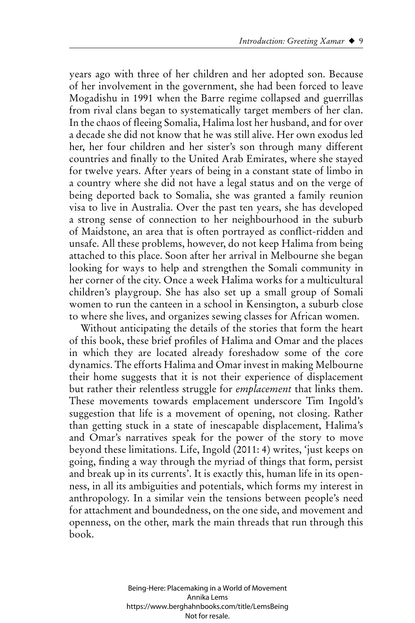years ago with three of her children and her adopted son. Because of her involvement in the government, she had been forced to leave Mogadishu in 1991 when the Barre regime collapsed and guerrillas from rival clans began to systematically target members of her clan. In the chaos of fleeing Somalia, Halima lost her husband, and for over a decade she did not know that he was still alive. Her own exodus led her, her four children and her sister's son through many different countries and finally to the United Arab Emirates, where she stayed for twelve years. After years of being in a constant state of limbo in a country where she did not have a legal status and on the verge of being deported back to Somalia, she was granted a family reunion visa to live in Australia. Over the past ten years, she has developed a strong sense of connection to her neighbourhood in the suburb of Maidstone, an area that is often portrayed as conflict-ridden and unsafe. All these problems, however, do not keep Halima from being attached to this place. Soon after her arrival in Melbourne she began looking for ways to help and strengthen the Somali community in her corner of the city. Once a week Halima works for a multicultural children's playgroup. She has also set up a small group of Somali women to run the canteen in a school in Kensington, a suburb close to where she lives, and organizes sewing classes for African women.

Without anticipating the details of the stories that form the heart of this book, these brief profiles of Halima and Omar and the places in which they are located already foreshadow some of the core dynamics. The efforts Halima and Omar invest in making Melbourne their home suggests that it is not their experience of displacement but rather their relentless struggle for *emplacement* that links them. These movements towards emplacement underscore Tim Ingold's suggestion that life is a movement of opening, not closing. Rather than getting stuck in a state of inescapable displacement, Halima's and Omar's narratives speak for the power of the story to move beyond these limitations. Life, Ingold (2011: 4) writes, 'just keeps on going, finding a way through the myriad of things that form, persist and break up in its currents'. It is exactly this, human life in its openness, in all its ambiguities and potentials, which forms my interest in anthropology. In a similar vein the tensions between people's need for attachment and boundedness, on the one side, and movement and openness, on the other, mark the main threads that run through this book.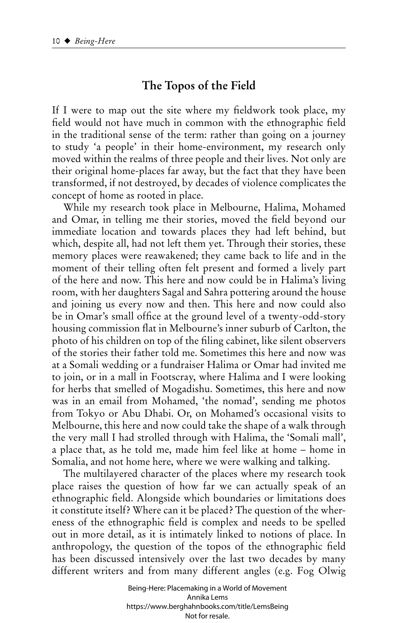## **The Topos of the Field**

If I were to map out the site where my fieldwork took place, my field would not have much in common with the ethnographic field in the traditional sense of the term: rather than going on a journey to study 'a people' in their home-environment, my research only moved within the realms of three people and their lives. Not only are their original home-places far away, but the fact that they have been transformed, if not destroyed, by decades of violence complicates the concept of home as rooted in place.

While my research took place in Melbourne, Halima, Mohamed and Omar, in telling me their stories, moved the field beyond our immediate location and towards places they had left behind, but which, despite all, had not left them yet. Through their stories, these memory places were reawakened; they came back to life and in the moment of their telling often felt present and formed a lively part of the here and now. This here and now could be in Halima's living room, with her daughters Sagal and Sahra pottering around the house and joining us every now and then. This here and now could also be in Omar's small office at the ground level of a twenty-odd-story housing commission flat in Melbourne's inner suburb of Carlton, the photo of his children on top of the filing cabinet, like silent observers of the stories their father told me. Sometimes this here and now was at a Somali wedding or a fundraiser Halima or Omar had invited me to join, or in a mall in Footscray, where Halima and I were looking for herbs that smelled of Mogadishu. Sometimes, this here and now was in an email from Mohamed, 'the nomad', sending me photos from Tokyo or Abu Dhabi. Or, on Mohamed's occasional visits to Melbourne, this here and now could take the shape of a walk through the very mall I had strolled through with Halima, the 'Somali mall', a place that, as he told me, made him feel like at home – home in Somalia, and not home here, where we were walking and talking.

The multilayered character of the places where my research took place raises the question of how far we can actually speak of an ethnographic field. Alongside which boundaries or limitations does it constitute itself? Where can it be placed? The question of the whereness of the ethnographic field is complex and needs to be spelled out in more detail, as it is intimately linked to notions of place. In anthropology, the question of the topos of the ethnographic field has been discussed intensively over the last two decades by many different writers and from many different angles (e.g. Fog Olwig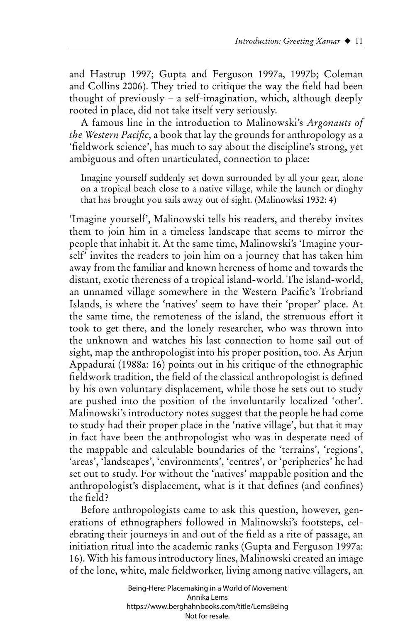and Hastrup 1997; Gupta and Ferguson 1997a, 1997b; Coleman and Collins 2006). They tried to critique the way the field had been thought of previously – a self-imagination, which, although deeply rooted in place, did not take itself very seriously.

A famous line in the introduction to Malinowski's *Argonauts of the Western Pacific*, a book that lay the grounds for anthropology as a 'fieldwork science', has much to say about the discipline's strong, yet ambiguous and often unarticulated, connection to place:

Imagine yourself suddenly set down surrounded by all your gear, alone on a tropical beach close to a native village, while the launch or dinghy that has brought you sails away out of sight. (Malinowksi 1932: 4)

'Imagine yourself', Malinowski tells his readers, and thereby invites them to join him in a timeless landscape that seems to mirror the people that inhabit it. At the same time, Malinowski's 'Imagine your- $\frac{1}{2}$  invites the readers to join him on a journey that has taken him away from the familiar and known hereness of home and towards the distant, exotic thereness of a tropical island-world. The island-world, an unnamed village somewhere in the Western Pacific's Trobriand Islands, is where the 'natives' seem to have their 'proper' place. At the same time, the remoteness of the island, the strenuous effort it took to get there, and the lonely researcher, who was thrown into the unknown and watches his last connection to home sail out of sight, map the anthropologist into his proper position, too. As Arjun Appadurai (1988a: 16) points out in his critique of the ethnographic fieldwork tradition, the field of the classical anthropologist is defined by his own voluntary displacement, while those he sets out to study are pushed into the position of the involuntarily localized 'other'. Malinowski's introductory notes suggest that the people he had come to study had their proper place in the 'native village', but that it may in fact have been the anthropologist who was in desperate need of the mappable and calculable boundaries of the 'terrains', 'regions', 'areas', 'landscapes', 'environments', 'centres', or 'peripheries' he had set out to study. For without the 'natives' mappable position and the anthropologist's displacement, what is it that defines (and confines) the field?

Before anthropologists came to ask this question, however, generations of ethnographers followed in Malinowski's footsteps, celebrating their journeys in and out of the field as a rite of passage, an initiation ritual into the academic ranks (Gupta and Ferguson 1997a: 16). With his famous introductory lines, Malinowski created an image of the lone, white, male fieldworker, living among native villagers, an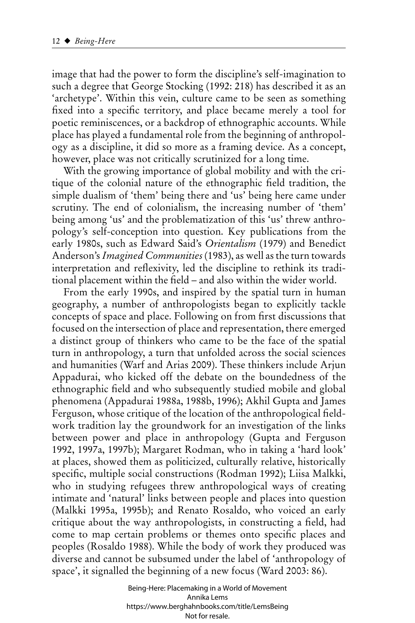image that had the power to form the discipline's self-imagination to such a degree that George Stocking (1992: 218) has described it as an 'archetype'. Within this vein, culture came to be seen as something fixed into a specific territory, and place became merely a tool for poetic reminiscences, or a backdrop of ethnographic accounts. While place has played a fundamental role from the beginning of anthropology as a discipline, it did so more as a framing device. As a concept, however, place was not critically scrutinized for a long time.

With the growing importance of global mobility and with the critique of the colonial nature of the ethnographic field tradition, the simple dualism of 'them' being there and 'us' being here came under scrutiny. The end of colonialism, the increasing number of 'them' being among 'us' and the problematization of this 'us' threw anthropology's self-conception into question. Key publications from the early 1980s, such as Edward Said's *Orientalism* (1979) and Benedict Anderson's *Imagined Communities* (1983), as well as the turn towards interpretation and reflexivity, led the discipline to rethink its traditional placement within the field – and also within the wider world.

From the early 1990s, and inspired by the spatial turn in human geography, a number of anthropologists began to explicitly tackle concepts of space and place. Following on from first discussions that focused on the intersection of place and representation, there emerged a distinct group of thinkers who came to be the face of the spatial turn in anthropology, a turn that unfolded across the social sciences and humanities (Warf and Arias 2009). These thinkers include Arjun Appadurai, who kicked off the debate on the boundedness of the ethnographic field and who subsequently studied mobile and global phenomena (Appadurai 1988a, 1988b, 1996); Akhil Gupta and James Ferguson, whose critique of the location of the anthropological fieldwork tradition lay the groundwork for an investigation of the links between power and place in anthropology (Gupta and Ferguson 1992, 1997a, 1997b); Margaret Rodman, who in taking a 'hard look' at places, showed them as politicized, culturally relative, historically specific, multiple social constructions (Rodman 1992); Liisa Malkki, who in studying refugees threw anthropological ways of creating intimate and 'natural' links between people and places into question (Malkki 1995a, 1995b); and Renato Rosaldo, who voiced an early critique about the way anthropologists, in constructing a field, had come to map certain problems or themes onto specific places and peoples (Rosaldo 1988). While the body of work they produced was diverse and cannot be subsumed under the label of 'anthropology of space', it signalled the beginning of a new focus (Ward 2003: 86).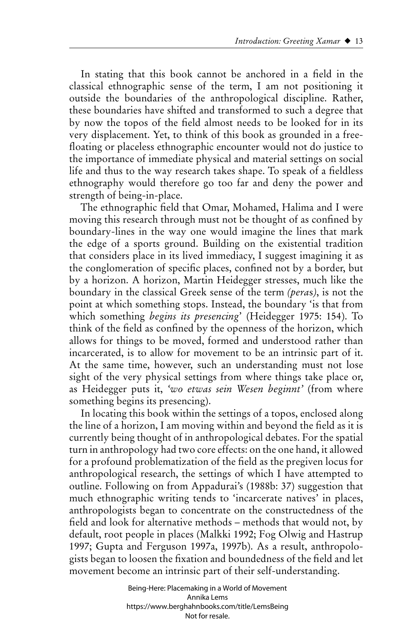In stating that this book cannot be anchored in a field in the classical ethnographic sense of the term, I am not positioning it outside the boundaries of the anthropological discipline. Rather, these boundaries have shifted and transformed to such a degree that by now the topos of the field almost needs to be looked for in its very displacement. Yet, to think of this book as grounded in a freefloating or placeless ethnographic encounter would not do justice to the importance of immediate physical and material settings on social life and thus to the way research takes shape. To speak of a fieldless ethnography would therefore go too far and deny the power and strength of being-in-place.

The ethnographic field that Omar, Mohamed, Halima and I were moving this research through must not be thought of as confined by boundary-lines in the way one would imagine the lines that mark the edge of a sports ground. Building on the existential tradition that considers place in its lived immediacy, I suggest imagining it as the conglomeration of specific places, confined not by a border, but by a horizon. A horizon, Martin Heidegger stresses, much like the boundary in the classical Greek sense of the term *(pera*s*)*, is not the point at which something stops. Instead, the boundary 'is that from which something *begins its presencing*' (Heidegger 1975: 154). To think of the field as confined by the openness of the horizon, which allows for things to be moved, formed and understood rather than incarcerated, is to allow for movement to be an intrinsic part of it. At the same time, however, such an understanding must not lose sight of the very physical settings from where things take place or, as Heidegger puts it, *'wo etwas sein Wesen beginnt'* (from where something begins its presencing).

In locating this book within the settings of a topos, enclosed along the line of a horizon, I am moving within and beyond the field as it is currently being thought of in anthropological debates. For the spatial turn in anthropology had two core effects: on the one hand, it allowed for a profound problematization of the field as the pregiven locus for anthropological research, the settings of which I have attempted to outline. Following on from Appadurai's (1988b: 37) suggestion that much ethnographic writing tends to 'incarcerate natives' in places, anthropologists began to concentrate on the constructedness of the field and look for alternative methods – methods that would not, by default, root people in places (Malkki 1992; Fog Olwig and Hastrup 1997; Gupta and Ferguson 1997a, 1997b). As a result, anthropologists began to loosen the fixation and boundedness of the field and let movement become an intrinsic part of their self-understanding.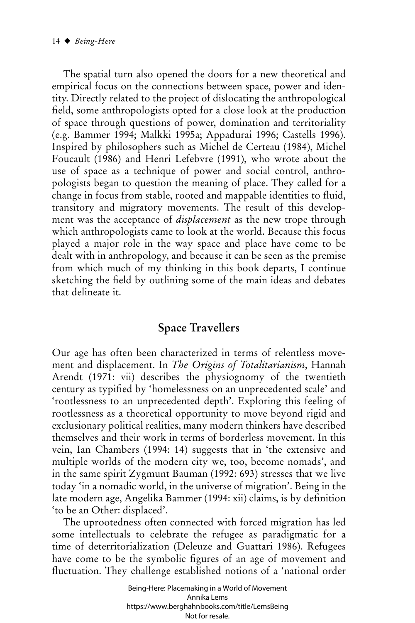The spatial turn also opened the doors for a new theoretical and empirical focus on the connections between space, power and identity. Directly related to the project of dislocating the anthropological field, some anthropologists opted for a close look at the production of space through questions of power, domination and territoriality (e.g. Bammer 1994; Malkki 1995a; Appadurai 1996; Castells 1996). Inspired by philosophers such as Michel de Certeau (1984), Michel Foucault (1986) and Henri Lefebvre (1991), who wrote about the use of space as a technique of power and social control, anthropologists began to question the meaning of place. They called for a change in focus from stable, rooted and mappable identities to fluid, transitory and migratory movements. The result of this development was the acceptance of *displacement* as the new trope through which anthropologists came to look at the world. Because this focus played a major role in the way space and place have come to be dealt with in anthropology, and because it can be seen as the premise from which much of my thinking in this book departs, I continue sketching the field by outlining some of the main ideas and debates that delineate it.

#### **Space Travellers**

Our age has often been characterized in terms of relentless movement and displacement. In *The Origins of Totalitarianism*, Hannah Arendt (1971: vii) describes the physiognomy of the twentieth century as typified by 'homelessness on an unprecedented scale' and 'rootlessness to an unprecedented depth'. Exploring this feeling of rootlessness as a theoretical opportunity to move beyond rigid and exclusionary political realities, many modern thinkers have described themselves and their work in terms of borderless movement. In this vein, Ian Chambers (1994: 14) suggests that in 'the extensive and multiple worlds of the modern city we, too, become nomads', and in the same spirit Zygmunt Bauman (1992: 693) stresses that we live today 'in a nomadic world, in the universe of migration'. Being in the late modern age, Angelika Bammer (1994: xii) claims, is by definition 'to be an Other: displaced'.

The uprootedness often connected with forced migration has led some intellectuals to celebrate the refugee as paradigmatic for a time of deterritorialization (Deleuze and Guattari 1986). Refugees have come to be the symbolic figures of an age of movement and fluctuation. They challenge established notions of a 'national order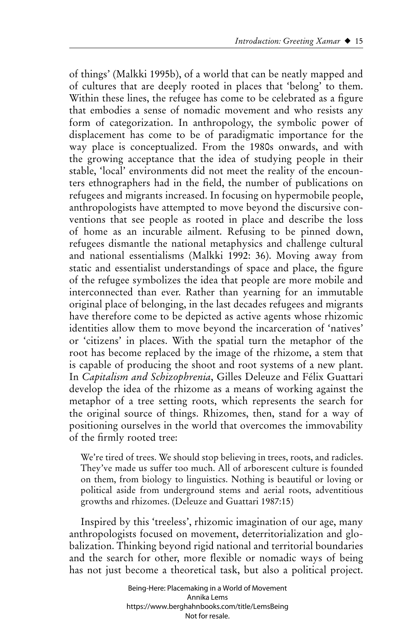of things' (Malkki 1995b), of a world that can be neatly mapped and of cultures that are deeply rooted in places that 'belong' to them. Within these lines, the refugee has come to be celebrated as a figure that embodies a sense of nomadic movement and who resists any form of categorization. In anthropology, the symbolic power of displacement has come to be of paradigmatic importance for the way place is conceptualized. From the 1980s onwards, and with the growing acceptance that the idea of studying people in their stable, 'local' environments did not meet the reality of the encounters ethnographers had in the field, the number of publications on refugees and migrants increased. In focusing on hypermobile people, anthropologists have attempted to move beyond the discursive conventions that see people as rooted in place and describe the loss of home as an incurable ailment. Refusing to be pinned down, refugees dismantle the national metaphysics and challenge cultural and national essentialisms (Malkki 1992: 36). Moving away from static and essentialist understandings of space and place, the figure of the refugee symbolizes the idea that people are more mobile and interconnected than ever. Rather than yearning for an immutable original place of belonging, in the last decades refugees and migrants have therefore come to be depicted as active agents whose rhizomic identities allow them to move beyond the incarceration of 'natives' or 'citizens' in places. With the spatial turn the metaphor of the root has become replaced by the image of the rhizome, a stem that is capable of producing the shoot and root systems of a new plant. In *Capitalism and Schizophrenia*, Gilles Deleuze and Félix Guattari develop the idea of the rhizome as a means of working against the metaphor of a tree setting roots, which represents the search for the original source of things. Rhizomes, then, stand for a way of positioning ourselves in the world that overcomes the immovability of the firmly rooted tree:

We're tired of trees. We should stop believing in trees, roots, and radicles. They've made us suffer too much. All of arborescent culture is founded on them, from biology to linguistics. Nothing is beautiful or loving or political aside from underground stems and aerial roots, adventitious growths and rhizomes. (Deleuze and Guattari 1987:15)

Inspired by this 'treeless', rhizomic imagination of our age, many anthropologists focused on movement, deterritorialization and globalization. Thinking beyond rigid national and territorial boundaries and the search for other, more flexible or nomadic ways of being has not just become a theoretical task, but also a political project.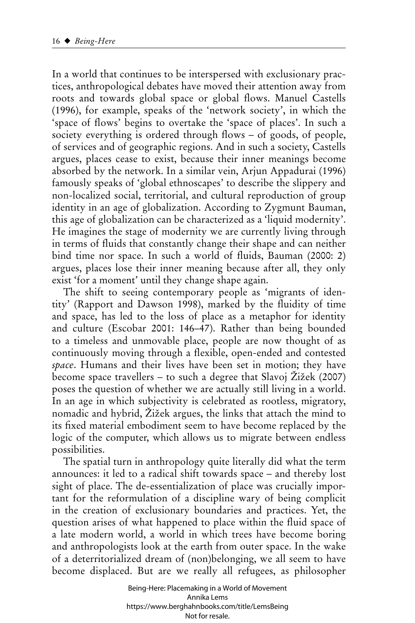In a world that continues to be interspersed with exclusionary practices, anthropological debates have moved their attention away from roots and towards global space or global flows. Manuel Castells (1996), for example, speaks of the 'network society', in which the 'space of flows' begins to overtake the 'space of places'. In such a society everything is ordered through flows – of goods, of people, of services and of geographic regions. And in such a society, Castells argues, places cease to exist, because their inner meanings become absorbed by the network. In a similar vein, Arjun Appadurai (1996) famously speaks of 'global ethnoscapes' to describe the slippery and non-localized social, territorial, and cultural reproduction of group identity in an age of globalization. According to Zygmunt Bauman, this age of globalization can be characterized as a 'liquid modernity'. He imagines the stage of modernity we are currently living through in terms of fluids that constantly change their shape and can neither bind time nor space. In such a world of fluids, Bauman (2000: 2) argues, places lose their inner meaning because after all, they only exist 'for a moment' until they change shape again.

The shift to seeing contemporary people as 'migrants of identity' (Rapport and Dawson 1998), marked by the fluidity of time and space, has led to the loss of place as a metaphor for identity and culture (Escobar 2001: 146–47). Rather than being bounded to a timeless and unmovable place, people are now thought of as continuously moving through a flexible, open-ended and contested *space*. Humans and their lives have been set in motion; they have become space travellers *–* to such a degree that Slavoj Žižek (2007) poses the question of whether we are actually still living in a world. In an age in which subjectivity is celebrated as rootless, migratory, nomadic and hybrid, Žižek argues, the links that attach the mind to its fixed material embodiment seem to have become replaced by the logic of the computer, which allows us to migrate between endless possibilities.

The spatial turn in anthropology quite literally did what the term announces: it led to a radical shift towards space – and thereby lost sight of place. The de-essentialization of place was crucially important for the reformulation of a discipline wary of being complicit in the creation of exclusionary boundaries and practices. Yet, the question arises of what happened to place within the fluid space of a late modern world, a world in which trees have become boring and anthropologists look at the earth from outer space. In the wake of a deterritorialized dream of (non)belonging, we all seem to have become displaced. But are we really all refugees, as philosopher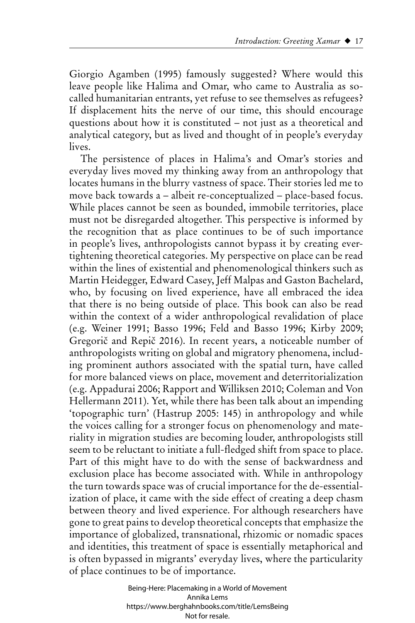Giorgio Agamben (1995) famously suggested? Where would this leave people like Halima and Omar, who came to Australia as socalled humanitarian entrants, yet refuse to see themselves as refugees? If displacement hits the nerve of our time, this should encourage questions about how it is constituted – not just as a theoretical and analytical category, but as lived and thought of in people's everyday lives.

The persistence of places in Halima's and Omar's stories and everyday lives moved my thinking away from an anthropology that locates humans in the blurry vastness of space. Their stories led me to move back towards a – albeit re-conceptualized – place-based focus. While places cannot be seen as bounded, immobile territories, place must not be disregarded altogether. This perspective is informed by the recognition that as place continues to be of such importance in people's lives, anthropologists cannot bypass it by creating evertightening theoretical categories. My perspective on place can be read within the lines of existential and phenomenological thinkers such as Martin Heidegger, Edward Casey, Jeff Malpas and Gaston Bachelard, who, by focusing on lived experience, have all embraced the idea that there is no being outside of place. This book can also be read within the context of a wider anthropological revalidation of place (e.g. Weiner 1991; Basso 1996; Feld and Basso 1996; Kirby 2009; Gregorič and Repič 2016). In recent years, a noticeable number of anthropologists writing on global and migratory phenomena, including prominent authors associated with the spatial turn, have called for more balanced views on place, movement and deterritorialization (e.g. Appadurai 2006; Rapport and Williksen 2010; Coleman and Von Hellermann 2011). Yet, while there has been talk about an impending 'topographic turn' (Hastrup 2005: 145) in anthropology and while the voices calling for a stronger focus on phenomenology and materiality in migration studies are becoming louder, anthropologists still seem to be reluctant to initiate a full-fledged shift from space to place. Part of this might have to do with the sense of backwardness and exclusion place has become associated with. While in anthropology the turn towards space was of crucial importance for the de-essentialization of place, it came with the side effect of creating a deep chasm between theory and lived experience. For although researchers have gone to great pains to develop theoretical concepts that emphasize the importance of globalized, transnational, rhizomic or nomadic spaces and identities, this treatment of space is essentially metaphorical and is often bypassed in migrants' everyday lives, where the particularity of place continues to be of importance.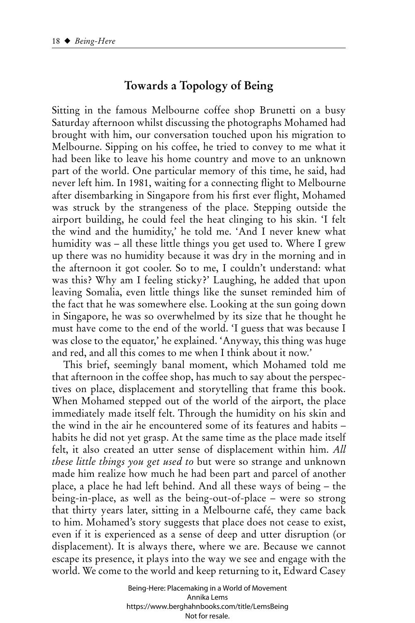#### **Towards a Topology of Being**

Sitting in the famous Melbourne coffee shop Brunetti on a busy Saturday afternoon whilst discussing the photographs Mohamed had brought with him, our conversation touched upon his migration to Melbourne. Sipping on his coffee, he tried to convey to me what it had been like to leave his home country and move to an unknown part of the world. One particular memory of this time, he said, had never left him. In 1981, waiting for a connecting flight to Melbourne after disembarking in Singapore from his first ever flight, Mohamed was struck by the strangeness of the place. Stepping outside the airport building, he could feel the heat clinging to his skin. 'I felt the wind and the humidity,' he told me. 'And I never knew what humidity was – all these little things you get used to. Where I grew up there was no humidity because it was dry in the morning and in the afternoon it got cooler. So to me, I couldn't understand: what was this? Why am I feeling sticky?' Laughing, he added that upon leaving Somalia, even little things like the sunset reminded him of the fact that he was somewhere else. Looking at the sun going down in Singapore, he was so overwhelmed by its size that he thought he must have come to the end of the world. 'I guess that was because I was close to the equator,' he explained. 'Anyway, this thing was huge and red, and all this comes to me when I think about it now.'

This brief, seemingly banal moment, which Mohamed told me that afternoon in the coffee shop, has much to say about the perspectives on place, displacement and storytelling that frame this book. When Mohamed stepped out of the world of the airport, the place immediately made itself felt. Through the humidity on his skin and the wind in the air he encountered some of its features and habits – habits he did not yet grasp. At the same time as the place made itself felt, it also created an utter sense of displacement within him. *All these little things you get used to* but were so strange and unknown made him realize how much he had been part and parcel of another place, a place he had left behind. And all these ways of being – the being-in-place, as well as the being-out-of-place – were so strong that thirty years later, sitting in a Melbourne café, they came back to him. Mohamed's story suggests that place does not cease to exist, even if it is experienced as a sense of deep and utter disruption (or displacement). It is always there, where we are. Because we cannot escape its presence, it plays into the way we see and engage with the world. We come to the world and keep returning to it, Edward Casey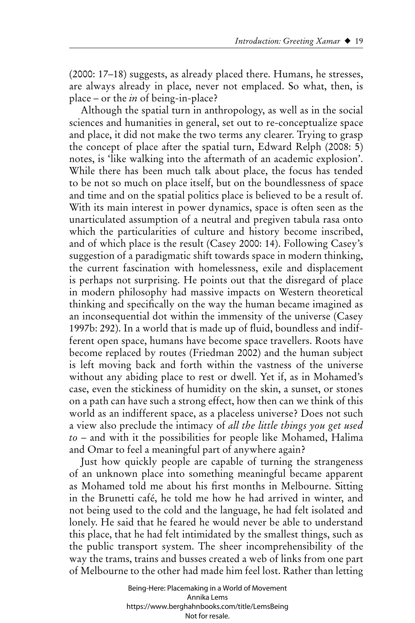(2000: 17–18) suggests, as already placed there. Humans, he stresses, are always already in place, never not emplaced. So what, then, is place – or the *in* of being-in-place?

Although the spatial turn in anthropology, as well as in the social sciences and humanities in general, set out to re-conceptualize space and place, it did not make the two terms any clearer. Trying to grasp the concept of place after the spatial turn, Edward Relph (2008: 5) notes, is 'like walking into the aftermath of an academic explosion'. While there has been much talk about place, the focus has tended to be not so much on place itself, but on the boundlessness of space and time and on the spatial politics place is believed to be a result of. With its main interest in power dynamics, space is often seen as the unarticulated assumption of a neutral and pregiven tabula rasa onto which the particularities of culture and history become inscribed, and of which place is the result (Casey 2000: 14). Following Casey's suggestion of a paradigmatic shift towards space in modern thinking, the current fascination with homelessness, exile and displacement is perhaps not surprising. He points out that the disregard of place in modern philosophy had massive impacts on Western theoretical thinking and specifically on the way the human became imagined as an inconsequential dot within the immensity of the universe (Casey 1997b: 292). In a world that is made up of fluid, boundless and indifferent open space, humans have become space travellers. Roots have become replaced by routes (Friedman 2002) and the human subject is left moving back and forth within the vastness of the universe without any abiding place to rest or dwell. Yet if, as in Mohamed's case, even the stickiness of humidity on the skin, a sunset, or stones on a path can have such a strong effect, how then can we think of this world as an indifferent space, as a placeless universe? Does not such a view also preclude the intimacy of *all the little things you get used to* – and with it the possibilities for people like Mohamed, Halima and Omar to feel a meaningful part of anywhere again?

Just how quickly people are capable of turning the strangeness of an unknown place into something meaningful became apparent as Mohamed told me about his first months in Melbourne. Sitting in the Brunetti café, he told me how he had arrived in winter, and not being used to the cold and the language, he had felt isolated and lonely. He said that he feared he would never be able to understand this place, that he had felt intimidated by the smallest things, such as the public transport system. The sheer incomprehensibility of the way the trams, trains and busses created a web of links from one part of Melbourne to the other had made him feel lost. Rather than letting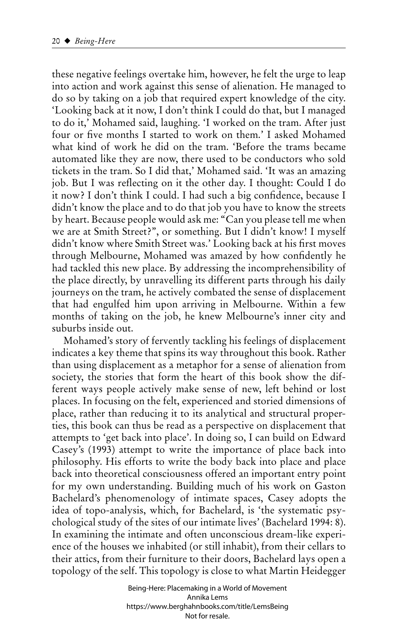these negative feelings overtake him, however, he felt the urge to leap into action and work against this sense of alienation. He managed to do so by taking on a job that required expert knowledge of the city. 'Looking back at it now, I don't think I could do that, but I managed to do it,' Mohamed said, laughing. 'I worked on the tram. After just four or five months I started to work on them.' I asked Mohamed what kind of work he did on the tram. 'Before the trams became automated like they are now, there used to be conductors who sold tickets in the tram. So I did that,' Mohamed said. 'It was an amazing job. But I was reflecting on it the other day. I thought: Could I do it now? I don't think I could. I had such a big confidence, because I didn't know the place and to do that job you have to know the streets by heart. Because people would ask me: "Can you please tell me when we are at Smith Street?", or something. But I didn't know! I myself didn't know where Smith Street was.' Looking back at his first moves through Melbourne, Mohamed was amazed by how confidently he had tackled this new place. By addressing the incomprehensibility of the place directly, by unravelling its different parts through his daily journeys on the tram, he actively combated the sense of displacement that had engulfed him upon arriving in Melbourne. Within a few months of taking on the job, he knew Melbourne's inner city and suburbs inside out.

Mohamed's story of fervently tackling his feelings of displacement indicates a key theme that spins its way throughout this book. Rather than using displacement as a metaphor for a sense of alienation from society, the stories that form the heart of this book show the different ways people actively make sense of new, left behind or lost places. In focusing on the felt, experienced and storied dimensions of place, rather than reducing it to its analytical and structural properties, this book can thus be read as a perspective on displacement that attempts to 'get back into place'. In doing so, I can build on Edward Casey's (1993) attempt to write the importance of place back into philosophy. His efforts to write the body back into place and place back into theoretical consciousness offered an important entry point for my own understanding. Building much of his work on Gaston Bachelard's phenomenology of intimate spaces, Casey adopts the idea of topo-analysis, which, for Bachelard, is 'the systematic psychological study of the sites of our intimate lives' (Bachelard 1994: 8). In examining the intimate and often unconscious dream-like experience of the houses we inhabited (or still inhabit), from their cellars to their attics, from their furniture to their doors, Bachelard lays open a topology of the self. This topology is close to what Martin Heidegger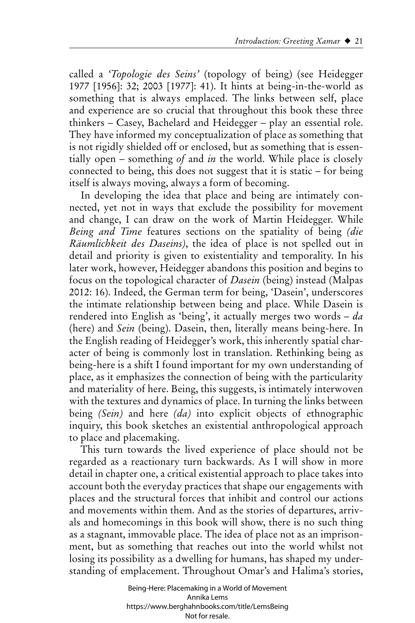called a *'Topologie des Seins'* (topology of being) (see Heidegger 1977 [1956]: 32; 2003 [1977]: 41). It hints at being-in-the-world as something that is always emplaced. The links between self, place and experience are so crucial that throughout this book these three thinkers – Casey, Bachelard and Heidegger – play an essential role. They have informed my conceptualization of place as something that is not rigidly shielded off or enclosed, but as something that is essentially open – something *of* and *in* the world. While place is closely connected to being, this does not suggest that it is static – for being itself is always moving, always a form of becoming.

In developing the idea that place and being are intimately connected, yet not in ways that exclude the possibility for movement and change, I can draw on the work of Martin Heidegger. While *Being and Time* features sections on the spatiality of being *(die Räumlichkeit des Daseins)*, the idea of place is not spelled out in detail and priority is given to existentiality and temporality. In his later work, however, Heidegger abandons this position and begins to focus on the topological character of *Dasein* (being) instead (Malpas 2012: 16). Indeed, the German term for being, 'Dasein', underscores the intimate relationship between being and place. While Dasein is rendered into English as 'being', it actually merges two words – *da* (here) and *Sein* (being). Dasein, then, literally means being-here. In the English reading of Heidegger's work, this inherently spatial character of being is commonly lost in translation. Rethinking being as being-here is a shift I found important for my own understanding of place, as it emphasizes the connection of being with the particularity and materiality of here. Being, this suggests, is intimately interwoven with the textures and dynamics of place. In turning the links between being *(Sein)* and here *(da)* into explicit objects of ethnographic inquiry, this book sketches an existential anthropological approach to place and placemaking.

This turn towards the lived experience of place should not be regarded as a reactionary turn backwards. As I will show in more detail in chapter one, a critical existential approach to place takes into account both the everyday practices that shape our engagements with places and the structural forces that inhibit and control our actions and movements within them. And as the stories of departures, arrivals and homecomings in this book will show, there is no such thing as a stagnant, immovable place. The idea of place not as an imprisonment, but as something that reaches out into the world whilst not losing its possibility as a dwelling for humans, has shaped my understanding of emplacement. Throughout Omar's and Halima's stories,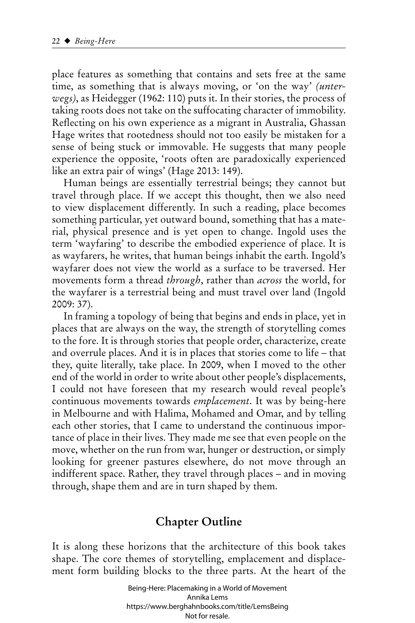place features as something that contains and sets free at the same time, as something that is always moving, or 'on the way' *(unterwegs)*, as Heidegger (1962: 110) puts it. In their stories, the process of taking roots does not take on the suffocating character of immobility. Reflecting on his own experience as a migrant in Australia, Ghassan Hage writes that rootedness should not too easily be mistaken for a sense of being stuck or immovable. He suggests that many people experience the opposite, 'roots often are paradoxically experienced like an extra pair of wings' (Hage 2013: 149).

Human beings are essentially terrestrial beings; they cannot but travel through place. If we accept this thought, then we also need to view displacement differently. In such a reading, place becomes something particular, yet outward bound, something that has a material, physical presence and is yet open to change. Ingold uses the term 'wayfaring' to describe the embodied experience of place. It is as wayfarers, he writes, that human beings inhabit the earth. Ingold's wayfarer does not view the world as a surface to be traversed. Her movements form a thread *through*, rather than *across* the world, for the wayfarer is a terrestrial being and must travel over land (Ingold 2009: 37).

In framing a topology of being that begins and ends in place, yet in places that are always on the way, the strength of storytelling comes to the fore. It is through stories that people order, characterize, create and overrule places. And it is in places that stories come to life – that they, quite literally, take place. In 2009, when I moved to the other end of the world in order to write about other people's displacements, I could not have foreseen that my research would reveal people's continuous movements towards *emplacement*. It was by being-here in Melbourne and with Halima, Mohamed and Omar, and by telling each other stories, that I came to understand the continuous importance of place in their lives. They made me see that even people on the move, whether on the run from war, hunger or destruction, or simply looking for greener pastures elsewhere, do not move through an indifferent space. Rather, they travel through places – and in moving through, shape them and are in turn shaped by them.

## **Chapter Outline**

It is along these horizons that the architecture of this book takes shape. The core themes of storytelling, emplacement and displacement form building blocks to the three parts. At the heart of the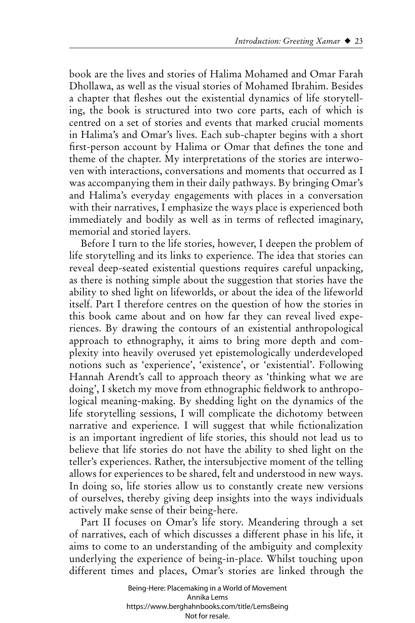book are the lives and stories of Halima Mohamed and Omar Farah Dhollawa, as well as the visual stories of Mohamed Ibrahim. Besides a chapter that fleshes out the existential dynamics of life storytelling, the book is structured into two core parts, each of which is centred on a set of stories and events that marked crucial moments in Halima's and Omar's lives. Each sub-chapter begins with a short first-person account by Halima or Omar that defines the tone and theme of the chapter. My interpretations of the stories are interwoven with interactions, conversations and moments that occurred as I was accompanying them in their daily pathways. By bringing Omar's and Halima's everyday engagements with places in a conversation with their narratives, I emphasize the ways place is experienced both immediately and bodily as well as in terms of reflected imaginary, memorial and storied layers.

Before I turn to the life stories, however, I deepen the problem of life storytelling and its links to experience. The idea that stories can reveal deep-seated existential questions requires careful unpacking, as there is nothing simple about the suggestion that stories have the ability to shed light on lifeworlds, or about the idea of the lifeworld itself. Part I therefore centres on the question of how the stories in this book came about and on how far they can reveal lived experiences. By drawing the contours of an existential anthropological approach to ethnography, it aims to bring more depth and complexity into heavily overused yet epistemologically underdeveloped notions such as 'experience', 'existence', or 'existential'. Following Hannah Arendt's call to approach theory as 'thinking what we are doing', I sketch my move from ethnographic fieldwork to anthropological meaning-making. By shedding light on the dynamics of the life storytelling sessions, I will complicate the dichotomy between narrative and experience. I will suggest that while fictionalization is an important ingredient of life stories, this should not lead us to believe that life stories do not have the ability to shed light on the teller's experiences. Rather, the intersubjective moment of the telling allows for experiences to be shared, felt and understood in new ways. In doing so, life stories allow us to constantly create new versions of ourselves, thereby giving deep insights into the ways individuals actively make sense of their being-here.

Part II focuses on Omar's life story. Meandering through a set of narratives, each of which discusses a different phase in his life, it aims to come to an understanding of the ambiguity and complexity underlying the experience of being-in-place. Whilst touching upon different times and places, Omar's stories are linked through the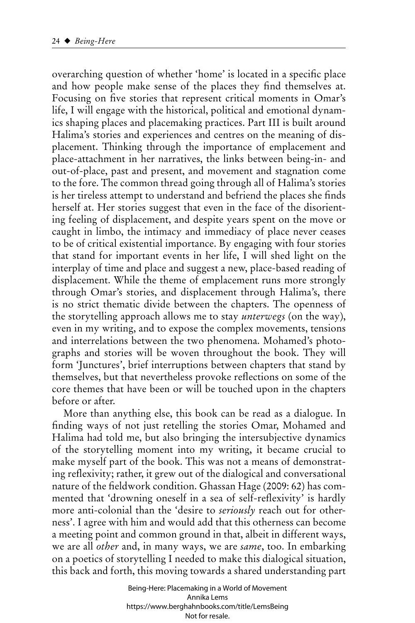overarching question of whether 'home' is located in a specific place and how people make sense of the places they find themselves at. Focusing on five stories that represent critical moments in Omar's life, I will engage with the historical, political and emotional dynamics shaping places and placemaking practices. Part III is built around Halima's stories and experiences and centres on the meaning of displacement. Thinking through the importance of emplacement and place-attachment in her narratives, the links between being-in- and out-of-place, past and present, and movement and stagnation come to the fore. The common thread going through all of Halima's stories is her tireless attempt to understand and befriend the places she finds herself at. Her stories suggest that even in the face of the disorienting feeling of displacement, and despite years spent on the move or caught in limbo, the intimacy and immediacy of place never ceases to be of critical existential importance. By engaging with four stories that stand for important events in her life, I will shed light on the interplay of time and place and suggest a new, place-based reading of displacement. While the theme of emplacement runs more strongly through Omar's stories, and displacement through Halima's, there is no strict thematic divide between the chapters. The openness of the storytelling approach allows me to stay *unterwegs* (on the way), even in my writing, and to expose the complex movements, tensions and interrelations between the two phenomena. Mohamed's photographs and stories will be woven throughout the book. They will form 'Junctures', brief interruptions between chapters that stand by themselves, but that nevertheless provoke reflections on some of the core themes that have been or will be touched upon in the chapters before or after.

More than anything else, this book can be read as a dialogue. In finding ways of not just retelling the stories Omar, Mohamed and Halima had told me, but also bringing the intersubjective dynamics of the storytelling moment into my writing, it became crucial to make myself part of the book. This was not a means of demonstrating reflexivity; rather, it grew out of the dialogical and conversational nature of the fieldwork condition. Ghassan Hage (2009: 62) has commented that 'drowning oneself in a sea of self-reflexivity' is hardly more anti-colonial than the 'desire to *seriously* reach out for otherness'. I agree with him and would add that this otherness can become a meeting point and common ground in that, albeit in different ways, we are all *other* and, in many ways, we are *same*, too. In embarking on a poetics of storytelling I needed to make this dialogical situation, this back and forth, this moving towards a shared understanding part